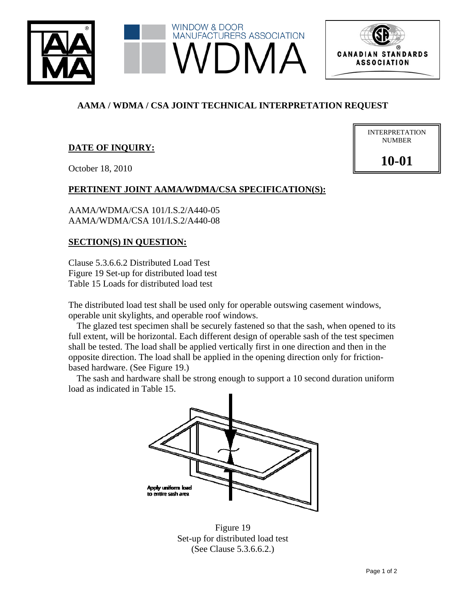



# **AAMA / WDMA / CSA JOINT TECHNICAL INTERPRETATION REQUEST**

# **DATE OF INQUIRY:**

October 18, 2010

### **PERTINENT JOINT AAMA/WDMA/CSA SPECIFICATION(S):**

AAMA/WDMA/CSA 101/I.S.2/A440-05 AAMA/WDMA/CSA 101/I.S.2/A440-08

#### **SECTION(S) IN QUESTION:**

Clause 5.3.6.6.2 Distributed Load Test Figure 19 Set-up for distributed load test Table 15 Loads for distributed load test

The distributed load test shall be used only for operable outswing casement windows, operable unit skylights, and operable roof windows.

The glazed test specimen shall be securely fastened so that the sash, when opened to its full extent, will be horizontal. Each different design of operable sash of the test specimen shall be tested. The load shall be applied vertically first in one direction and then in the opposite direction. The load shall be applied in the opening direction only for frictionbased hardware. (See Figure 19.)

The sash and hardware shall be strong enough to support a 10 second duration uniform load as indicated in Table 15.



Figure 19 Set-up for distributed load test (See Clause 5.3.6.6.2.)

| <b>INTERPRETATION</b> |
|-----------------------|
| <b>NUMBER</b>         |
|                       |
|                       |

**10-01**